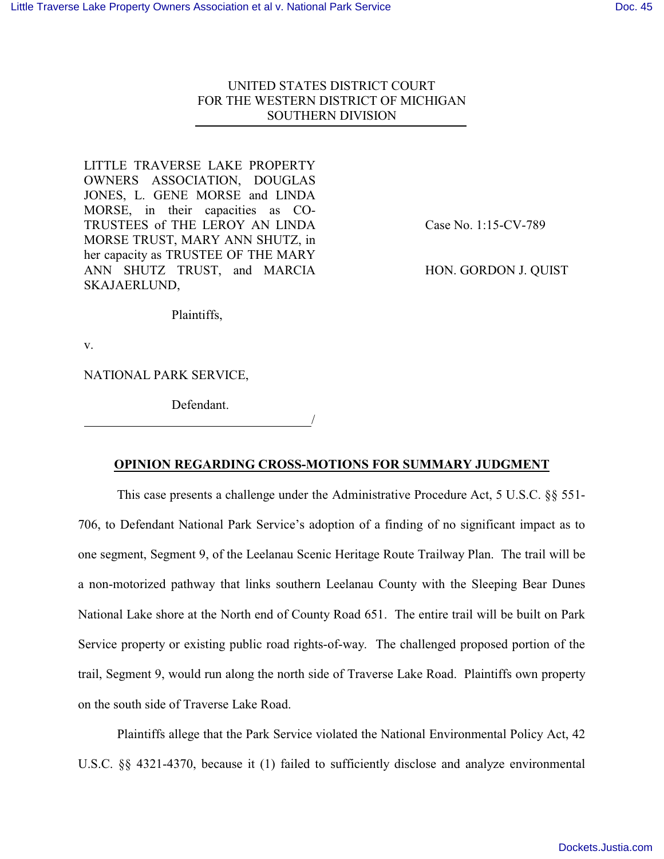# UNITED STATES DISTRICT COURT FOR THE WESTERN DISTRICT OF MICHIGAN SOUTHERN DIVISION

LITTLE TRAVERSE LAKE PROPERTY OWNERS ASSOCIATION, DOUGLAS JONES, L. GENE MORSE and LINDA MORSE, in their capacities as CO-TRUSTEES of THE LEROY AN LINDA MORSE TRUST, MARY ANN SHUTZ, in her capacity as TRUSTEE OF THE MARY ANN SHUTZ TRUST, and MARCIA SKAJAERLUND,

Case No. 1:15-CV-789

HON. GORDON J. QUIST

Plaintiffs,

v.

NATIONAL PARK SERVICE,

 Defendant. <u>/</u>

**OPINION REGARDING CROSS-MOTIONS FOR SUMMARY JUDGMENT**

This case presents a challenge under the Administrative Procedure Act, 5 U.S.C. §§ 551- 706, to Defendant National Park Service's adoption of a finding of no significant impact as to one segment, Segment 9, of the Leelanau Scenic Heritage Route Trailway Plan. The trail will be a non-motorized pathway that links southern Leelanau County with the Sleeping Bear Dunes National Lake shore at the North end of County Road 651. The entire trail will be built on Park Service property or existing public road rights-of-way. The challenged proposed portion of the trail, Segment 9, would run along the north side of Traverse Lake Road. Plaintiffs own property on the south side of Traverse Lake Road.

Plaintiffs allege that the Park Service violated the National Environmental Policy Act, 42 U.S.C. §§ 4321-4370, because it (1) failed to sufficiently disclose and analyze environmental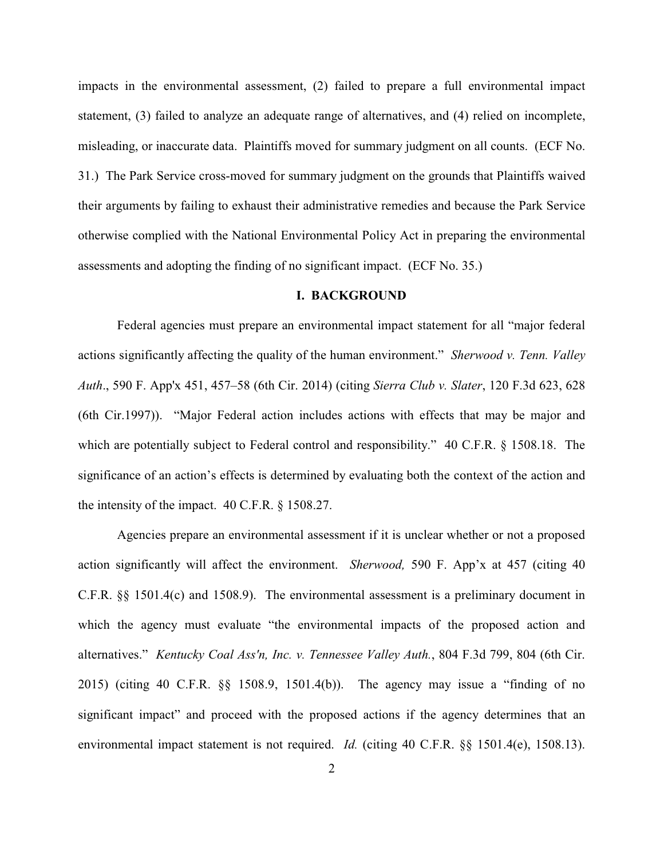impacts in the environmental assessment, (2) failed to prepare a full environmental impact statement, (3) failed to analyze an adequate range of alternatives, and (4) relied on incomplete, misleading, or inaccurate data. Plaintiffs moved for summary judgment on all counts. (ECF No. 31.) The Park Service cross-moved for summary judgment on the grounds that Plaintiffs waived their arguments by failing to exhaust their administrative remedies and because the Park Service otherwise complied with the National Environmental Policy Act in preparing the environmental assessments and adopting the finding of no significant impact. (ECF No. 35.)

# **I. BACKGROUND**

Federal agencies must prepare an environmental impact statement for all "major federal actions significantly affecting the quality of the human environment." *Sherwood v. Tenn. Valley Auth*., 590 F. App'x 451, 457–58 (6th Cir. 2014) (citing *Sierra Club v. Slater*, 120 F.3d 623, 628 (6th Cir.1997)). "Major Federal action includes actions with effects that may be major and which are potentially subject to Federal control and responsibility." 40 C.F.R. § 1508.18. The significance of an action's effects is determined by evaluating both the context of the action and the intensity of the impact. 40 C.F.R. § 1508.27.

Agencies prepare an environmental assessment if it is unclear whether or not a proposed action significantly will affect the environment. *Sherwood,* 590 F. App'x at 457 (citing 40 C.F.R. §§ 1501.4(c) and 1508.9). The environmental assessment is a preliminary document in which the agency must evaluate "the environmental impacts of the proposed action and alternatives." *Kentucky Coal Ass'n, Inc. v. Tennessee Valley Auth.*, 804 F.3d 799, 804 (6th Cir. 2015) (citing 40 C.F.R. §§ 1508.9, 1501.4(b)). The agency may issue a "finding of no significant impact" and proceed with the proposed actions if the agency determines that an environmental impact statement is not required. *Id.* (citing 40 C.F.R. §§ 1501.4(e), 1508.13).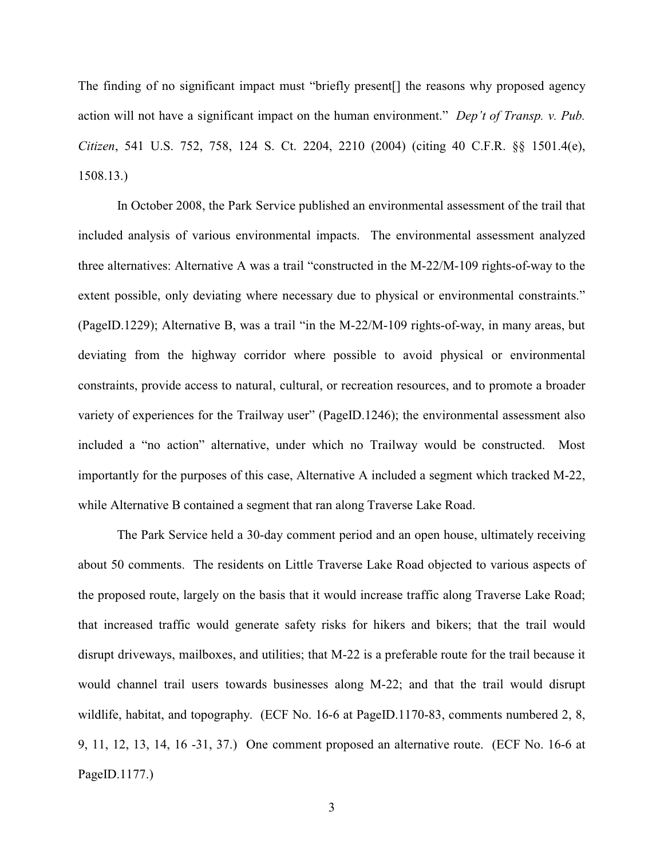The finding of no significant impact must "briefly present[] the reasons why proposed agency action will not have a significant impact on the human environment." *Dep't of Transp. v. Pub. Citizen*, 541 U.S. 752, 758, 124 S. Ct. 2204, 2210 (2004) (citing 40 C.F.R. §§ 1501.4(e), 1508.13.)

In October 2008, the Park Service published an environmental assessment of the trail that included analysis of various environmental impacts. The environmental assessment analyzed three alternatives: Alternative A was a trail "constructed in the M-22/M-109 rights-of-way to the extent possible, only deviating where necessary due to physical or environmental constraints." (PageID.1229); Alternative B, was a trail "in the M-22/M-109 rights-of-way, in many areas, but deviating from the highway corridor where possible to avoid physical or environmental constraints, provide access to natural, cultural, or recreation resources, and to promote a broader variety of experiences for the Trailway user" (PageID.1246); the environmental assessment also included a "no action" alternative, under which no Trailway would be constructed. Most importantly for the purposes of this case, Alternative A included a segment which tracked M-22, while Alternative B contained a segment that ran along Traverse Lake Road.

The Park Service held a 30-day comment period and an open house, ultimately receiving about 50 comments. The residents on Little Traverse Lake Road objected to various aspects of the proposed route, largely on the basis that it would increase traffic along Traverse Lake Road; that increased traffic would generate safety risks for hikers and bikers; that the trail would disrupt driveways, mailboxes, and utilities; that M-22 is a preferable route for the trail because it would channel trail users towards businesses along M-22; and that the trail would disrupt wildlife, habitat, and topography. (ECF No. 16-6 at PageID.1170-83, comments numbered 2, 8, 9, 11, 12, 13, 14, 16 -31, 37.) One comment proposed an alternative route. (ECF No. 16-6 at PageID.1177.)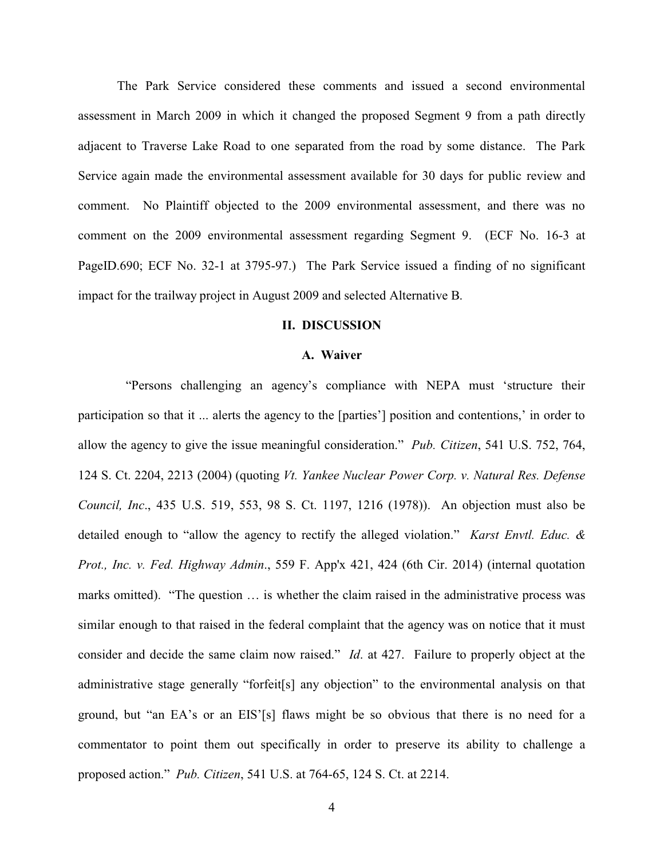The Park Service considered these comments and issued a second environmental assessment in March 2009 in which it changed the proposed Segment 9 from a path directly adjacent to Traverse Lake Road to one separated from the road by some distance. The Park Service again made the environmental assessment available for 30 days for public review and comment. No Plaintiff objected to the 2009 environmental assessment, and there was no comment on the 2009 environmental assessment regarding Segment 9. (ECF No. 16-3 at PageID.690; ECF No. 32-1 at 3795-97.) The Park Service issued a finding of no significant impact for the trailway project in August 2009 and selected Alternative B.

## **II. DISCUSSION**

### **A. Waiver**

"Persons challenging an agency's compliance with NEPA must 'structure their participation so that it ... alerts the agency to the [parties'] position and contentions,' in order to allow the agency to give the issue meaningful consideration." *Pub. Citizen*, 541 U.S. 752, 764, 124 S. Ct. 2204, 2213 (2004) (quoting *Vt. Yankee Nuclear Power Corp. v. Natural Res. Defense Council, Inc*., 435 U.S. 519, 553, 98 S. Ct. 1197, 1216 (1978)). An objection must also be detailed enough to "allow the agency to rectify the alleged violation." *Karst Envtl. Educ. & Prot., Inc. v. Fed. Highway Admin*., 559 F. App'x 421, 424 (6th Cir. 2014) (internal quotation marks omitted). "The question … is whether the claim raised in the administrative process was similar enough to that raised in the federal complaint that the agency was on notice that it must consider and decide the same claim now raised." *Id*. at 427. Failure to properly object at the administrative stage generally "forfeit[s] any objection" to the environmental analysis on that ground, but "an EA's or an EIS'[s] flaws might be so obvious that there is no need for a commentator to point them out specifically in order to preserve its ability to challenge a proposed action." *Pub. Citizen*, 541 U.S. at 764-65, 124 S. Ct. at 2214.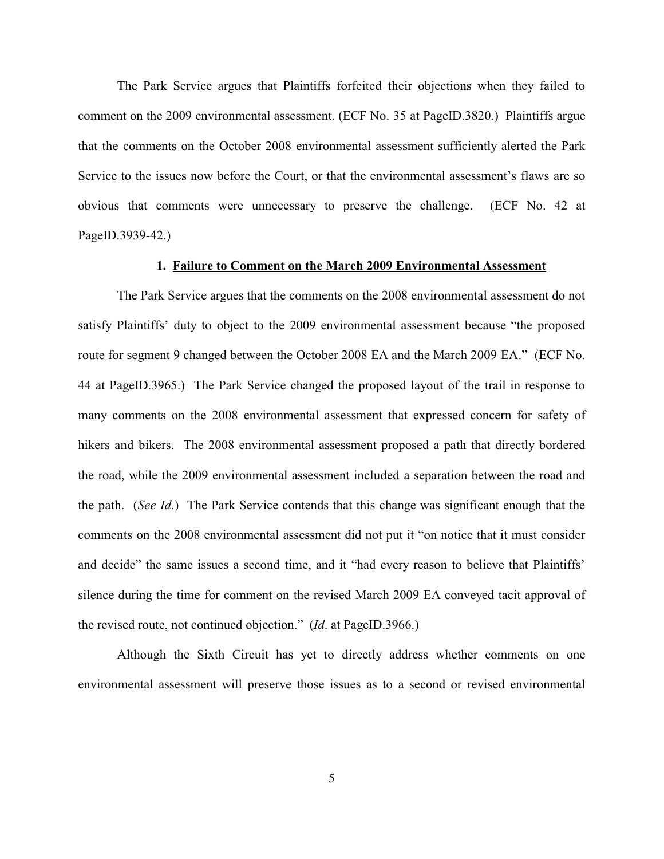The Park Service argues that Plaintiffs forfeited their objections when they failed to comment on the 2009 environmental assessment. (ECF No. 35 at PageID.3820.) Plaintiffs argue that the comments on the October 2008 environmental assessment sufficiently alerted the Park Service to the issues now before the Court, or that the environmental assessment's flaws are so obvious that comments were unnecessary to preserve the challenge. (ECF No. 42 at PageID.3939-42.)

## **1. Failure to Comment on the March 2009 Environmental Assessment**

The Park Service argues that the comments on the 2008 environmental assessment do not satisfy Plaintiffs' duty to object to the 2009 environmental assessment because "the proposed route for segment 9 changed between the October 2008 EA and the March 2009 EA." (ECF No. 44 at PageID.3965.) The Park Service changed the proposed layout of the trail in response to many comments on the 2008 environmental assessment that expressed concern for safety of hikers and bikers. The 2008 environmental assessment proposed a path that directly bordered the road, while the 2009 environmental assessment included a separation between the road and the path. (*See Id*.) The Park Service contends that this change was significant enough that the comments on the 2008 environmental assessment did not put it "on notice that it must consider and decide" the same issues a second time, and it "had every reason to believe that Plaintiffs' silence during the time for comment on the revised March 2009 EA conveyed tacit approval of the revised route, not continued objection." (*Id*. at PageID.3966.)

Although the Sixth Circuit has yet to directly address whether comments on one environmental assessment will preserve those issues as to a second or revised environmental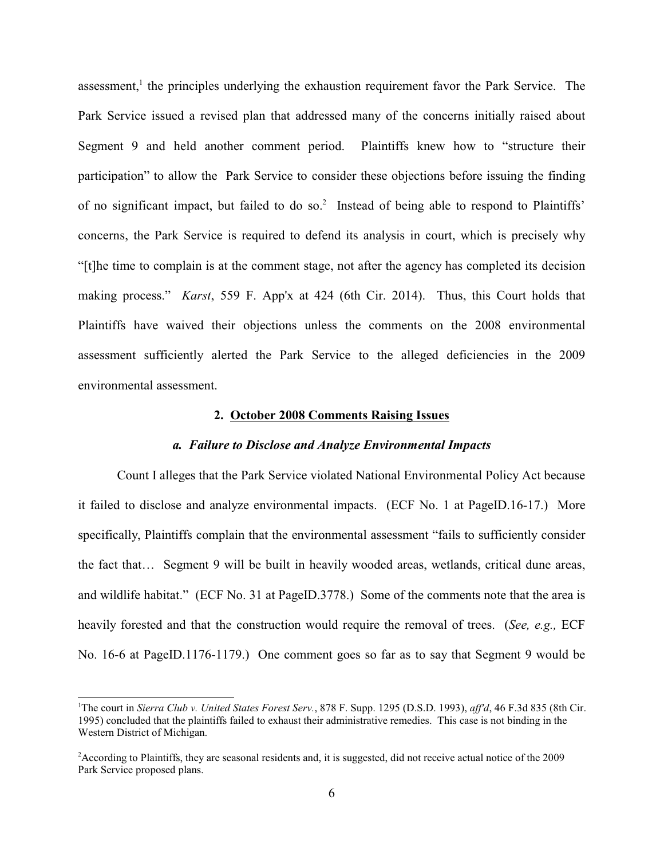assessment,<sup>1</sup> the principles underlying the exhaustion requirement favor the Park Service. The Park Service issued a revised plan that addressed many of the concerns initially raised about Segment 9 and held another comment period. Plaintiffs knew how to "structure their participation" to allow the Park Service to consider these objections before issuing the finding of no significant impact, but failed to do so.<sup>2</sup> Instead of being able to respond to Plaintiffs' concerns, the Park Service is required to defend its analysis in court, which is precisely why "[t]he time to complain is at the comment stage, not after the agency has completed its decision making process." *Karst*, 559 F. App'x at 424 (6th Cir. 2014). Thus, this Court holds that Plaintiffs have waived their objections unless the comments on the 2008 environmental assessment sufficiently alerted the Park Service to the alleged deficiencies in the 2009 environmental assessment.

### **2. October 2008 Comments Raising Issues**

### *a. Failure to Disclose and Analyze Environmental Impacts*

Count I alleges that the Park Service violated National Environmental Policy Act because it failed to disclose and analyze environmental impacts. (ECF No. 1 at PageID.16-17.) More specifically, Plaintiffs complain that the environmental assessment "fails to sufficiently consider the fact that… Segment 9 will be built in heavily wooded areas, wetlands, critical dune areas, and wildlife habitat." (ECF No. 31 at PageID.3778.) Some of the comments note that the area is heavily forested and that the construction would require the removal of trees. (*See, e.g.,* ECF No. 16-6 at PageID.1176-1179.) One comment goes so far as to say that Segment 9 would be

<sup>1</sup>The court in *Sierra Club v. United States Forest Serv.*, 878 F. Supp. 1295 (D.S.D. 1993), *aff'd*, 46 F.3d 835 (8th Cir. 1995) concluded that the plaintiffs failed to exhaust their administrative remedies. This case is not binding in the Western District of Michigan.

<sup>2</sup>According to Plaintiffs, they are seasonal residents and, it is suggested, did not receive actual notice of the 2009 Park Service proposed plans.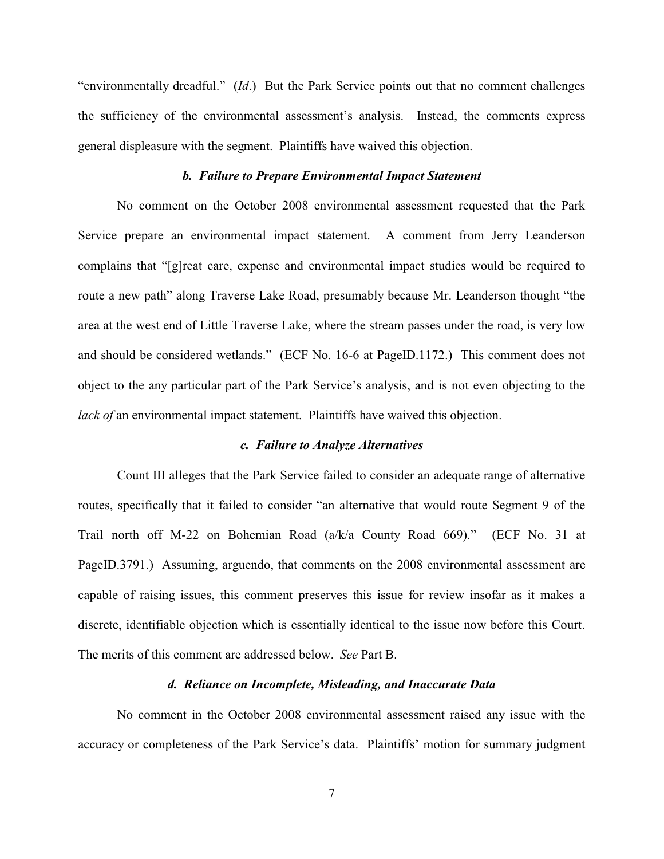"environmentally dreadful." (*Id*.) But the Park Service points out that no comment challenges the sufficiency of the environmental assessment's analysis. Instead, the comments express general displeasure with the segment. Plaintiffs have waived this objection.

# *b. Failure to Prepare Environmental Impact Statement*

No comment on the October 2008 environmental assessment requested that the Park Service prepare an environmental impact statement. A comment from Jerry Leanderson complains that "[g]reat care, expense and environmental impact studies would be required to route a new path" along Traverse Lake Road, presumably because Mr. Leanderson thought "the area at the west end of Little Traverse Lake, where the stream passes under the road, is very low and should be considered wetlands." (ECF No. 16-6 at PageID.1172.) This comment does not object to the any particular part of the Park Service's analysis, and is not even objecting to the *lack of* an environmental impact statement. Plaintiffs have waived this objection.

# *c. Failure to Analyze Alternatives*

Count III alleges that the Park Service failed to consider an adequate range of alternative routes, specifically that it failed to consider "an alternative that would route Segment 9 of the Trail north off M-22 on Bohemian Road (a/k/a County Road 669)." (ECF No. 31 at PageID.3791.) Assuming, arguendo, that comments on the 2008 environmental assessment are capable of raising issues, this comment preserves this issue for review insofar as it makes a discrete, identifiable objection which is essentially identical to the issue now before this Court. The merits of this comment are addressed below. *See* Part B.

#### *d. Reliance on Incomplete, Misleading, and Inaccurate Data*

No comment in the October 2008 environmental assessment raised any issue with the accuracy or completeness of the Park Service's data. Plaintiffs' motion for summary judgment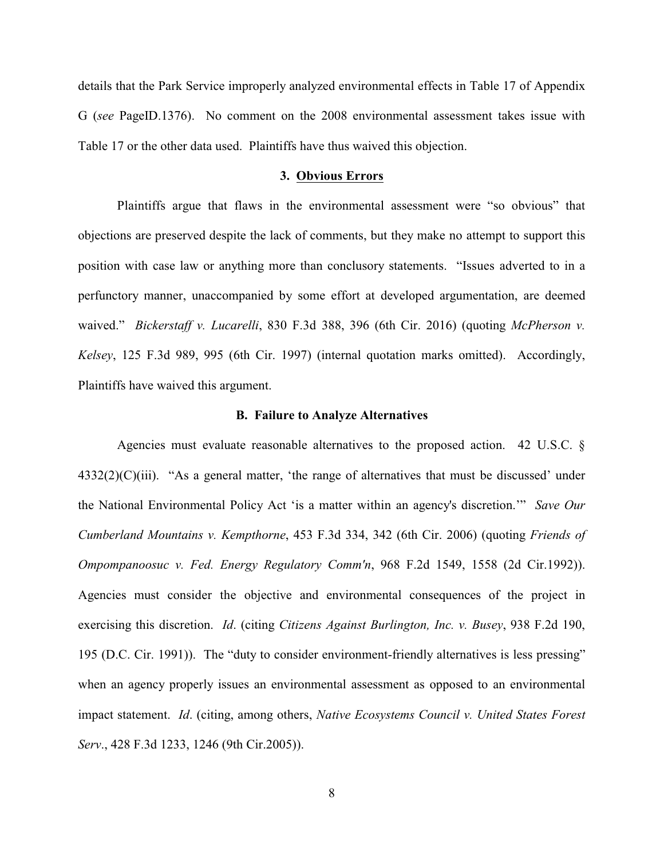details that the Park Service improperly analyzed environmental effects in Table 17 of Appendix G (*see* PageID.1376). No comment on the 2008 environmental assessment takes issue with Table 17 or the other data used. Plaintiffs have thus waived this objection.

#### **3. Obvious Errors**

Plaintiffs argue that flaws in the environmental assessment were "so obvious" that objections are preserved despite the lack of comments, but they make no attempt to support this position with case law or anything more than conclusory statements. "Issues adverted to in a perfunctory manner, unaccompanied by some effort at developed argumentation, are deemed waived." *Bickerstaff v. Lucarelli*, 830 F.3d 388, 396 (6th Cir. 2016) (quoting *McPherson v. Kelsey*, 125 F.3d 989, 995 (6th Cir. 1997) (internal quotation marks omitted). Accordingly, Plaintiffs have waived this argument.

#### **B. Failure to Analyze Alternatives**

Agencies must evaluate reasonable alternatives to the proposed action. 42 U.S.C. §  $4332(2)(C)(iii)$ . "As a general matter, 'the range of alternatives that must be discussed' under the National Environmental Policy Act 'is a matter within an agency's discretion.'" *Save Our Cumberland Mountains v. Kempthorne*, 453 F.3d 334, 342 (6th Cir. 2006) (quoting *Friends of Ompompanoosuc v. Fed. Energy Regulatory Comm'n*, 968 F.2d 1549, 1558 (2d Cir.1992)). Agencies must consider the objective and environmental consequences of the project in exercising this discretion. *Id*. (citing *Citizens Against Burlington, Inc. v. Busey*, 938 F.2d 190, 195 (D.C. Cir. 1991)). The "duty to consider environment-friendly alternatives is less pressing" when an agency properly issues an environmental assessment as opposed to an environmental impact statement. *Id*. (citing, among others, *Native Ecosystems Council v. United States Forest Serv*., 428 F.3d 1233, 1246 (9th Cir.2005)).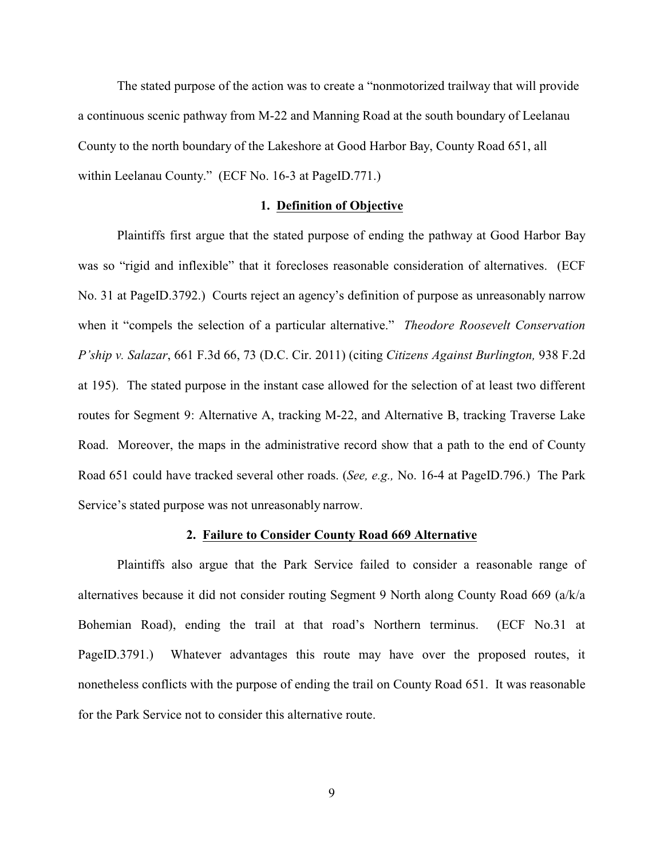The stated purpose of the action was to create a "nonmotorized trailway that will provide a continuous scenic pathway from M-22 and Manning Road at the south boundary of Leelanau County to the north boundary of the Lakeshore at Good Harbor Bay, County Road 651, all within Leelanau County." (ECF No. 16-3 at PageID.771.)

#### **1. Definition of Objective**

Plaintiffs first argue that the stated purpose of ending the pathway at Good Harbor Bay was so "rigid and inflexible" that it forecloses reasonable consideration of alternatives. (ECF No. 31 at PageID.3792.) Courts reject an agency's definition of purpose as unreasonably narrow when it "compels the selection of a particular alternative." *Theodore Roosevelt Conservation P'ship v. Salazar*, 661 F.3d 66, 73 (D.C. Cir. 2011) (citing *Citizens Against Burlington,* 938 F.2d at 195). The stated purpose in the instant case allowed for the selection of at least two different routes for Segment 9: Alternative A, tracking M-22, and Alternative B, tracking Traverse Lake Road. Moreover, the maps in the administrative record show that a path to the end of County Road 651 could have tracked several other roads. (*See, e.g.,* No. 16-4 at PageID.796.) The Park Service's stated purpose was not unreasonably narrow.

### **2. Failure to Consider County Road 669 Alternative**

Plaintiffs also argue that the Park Service failed to consider a reasonable range of alternatives because it did not consider routing Segment 9 North along County Road 669 (a/k/a Bohemian Road), ending the trail at that road's Northern terminus. (ECF No.31 at PageID.3791.) Whatever advantages this route may have over the proposed routes, it nonetheless conflicts with the purpose of ending the trail on County Road 651. It was reasonable for the Park Service not to consider this alternative route.